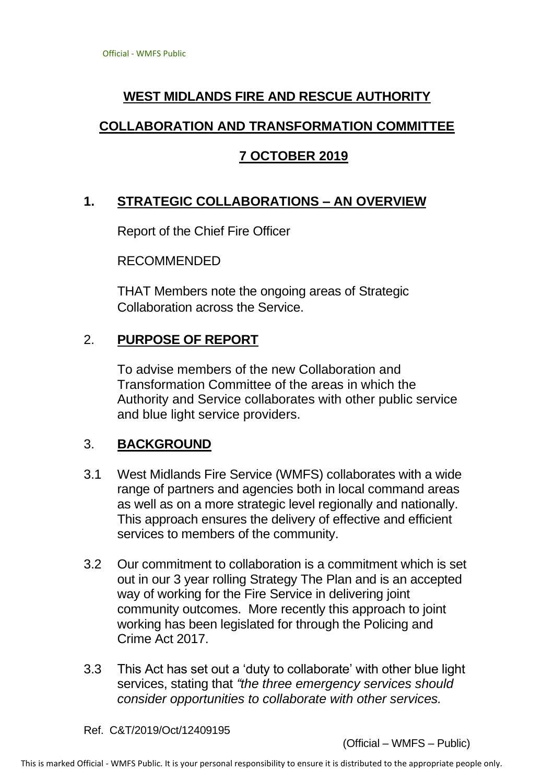# **WEST MIDLANDS FIRE AND RESCUE AUTHORITY**

### **COLLABORATION AND TRANSFORMATION COMMITTEE**

### **7 OCTOBER 2019**

## **1. STRATEGIC COLLABORATIONS – AN OVERVIEW**

Report of the Chief Fire Officer

RECOMMENDED

THAT Members note the ongoing areas of Strategic Collaboration across the Service.

### 2. **PURPOSE OF REPORT**

To advise members of the new Collaboration and Transformation Committee of the areas in which the Authority and Service collaborates with other public service and blue light service providers.

#### 3. **BACKGROUND**

- 3.1 West Midlands Fire Service (WMFS) collaborates with a wide range of partners and agencies both in local command areas as well as on a more strategic level regionally and nationally. This approach ensures the delivery of effective and efficient services to members of the community.
- 3.2 Our commitment to collaboration is a commitment which is set out in our 3 year rolling Strategy The Plan and is an accepted way of working for the Fire Service in delivering joint community outcomes. More recently this approach to joint working has been legislated for through the Policing and Crime Act 2017.
- 3.3 This Act has set out a 'duty to collaborate' with other blue light services, stating that *"the three emergency services should consider opportunities to collaborate with other services.*

Ref. C&T/2019/Oct/12409195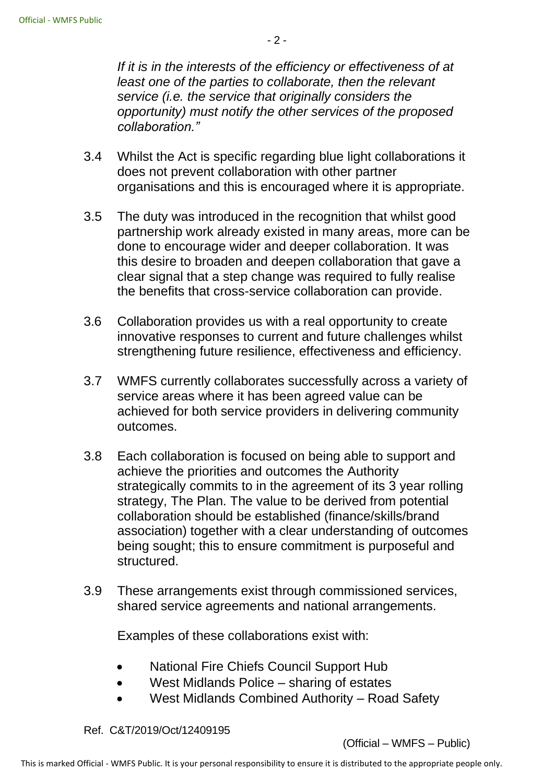*If it is in the interests of the efficiency or effectiveness of at least one of the parties to collaborate, then the relevant service (i.e. the service that originally considers the opportunity) must notify the other services of the proposed collaboration."*

- 3.4 Whilst the Act is specific regarding blue light collaborations it does not prevent collaboration with other partner organisations and this is encouraged where it is appropriate.
- 3.5 The duty was introduced in the recognition that whilst good partnership work already existed in many areas, more can be done to encourage wider and deeper collaboration. It was this desire to broaden and deepen collaboration that gave a clear signal that a step change was required to fully realise the benefits that cross-service collaboration can provide.
- 3.6 Collaboration provides us with a real opportunity to create innovative responses to current and future challenges whilst strengthening future resilience, effectiveness and efficiency.
- 3.7 WMFS currently collaborates successfully across a variety of service areas where it has been agreed value can be achieved for both service providers in delivering community outcomes.
- 3.8 Each collaboration is focused on being able to support and achieve the priorities and outcomes the Authority strategically commits to in the agreement of its 3 year rolling strategy, The Plan. The value to be derived from potential collaboration should be established (finance/skills/brand association) together with a clear understanding of outcomes being sought; this to ensure commitment is purposeful and structured.
- 3.9 These arrangements exist through commissioned services, shared service agreements and national arrangements.

Examples of these collaborations exist with:

- National Fire Chiefs Council Support Hub
- West Midlands Police sharing of estates
- West Midlands Combined Authority Road Safety

Ref. C&T/2019/Oct/12409195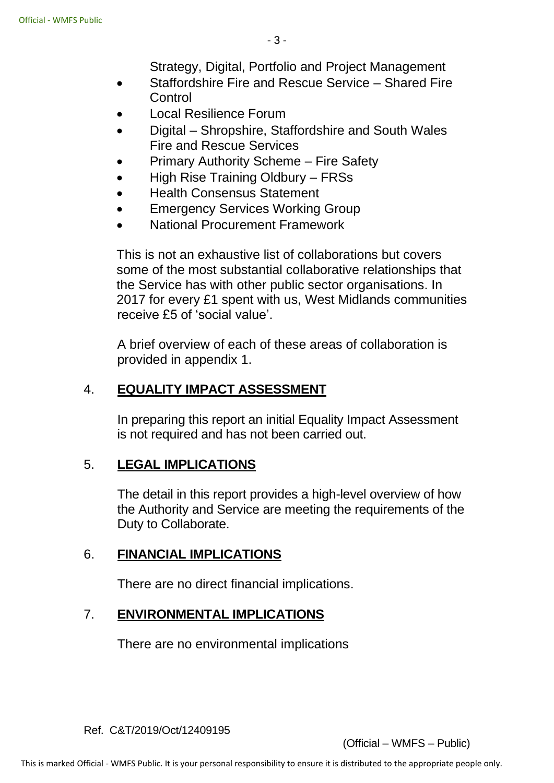Strategy, Digital, Portfolio and Project Management

- Staffordshire Fire and Rescue Service Shared Fire **Control**
- Local Resilience Forum
- Digital Shropshire, Staffordshire and South Wales Fire and Rescue Services
- Primary Authority Scheme Fire Safety
- High Rise Training Oldbury FRSs
- Health Consensus Statement
- **Emergency Services Working Group**
- National Procurement Framework

This is not an exhaustive list of collaborations but covers some of the most substantial collaborative relationships that the Service has with other public sector organisations. In 2017 for every £1 spent with us, West Midlands communities receive £5 of 'social value'.

A brief overview of each of these areas of collaboration is provided in appendix 1.

## 4. **EQUALITY IMPACT ASSESSMENT**

In preparing this report an initial Equality Impact Assessment is not required and has not been carried out.

## 5. **LEGAL IMPLICATIONS**

The detail in this report provides a high-level overview of how the Authority and Service are meeting the requirements of the Duty to Collaborate.

#### 6. **FINANCIAL IMPLICATIONS**

There are no direct financial implications.

#### 7. **ENVIRONMENTAL IMPLICATIONS**

There are no environmental implications

Ref. C&T/2019/Oct/12409195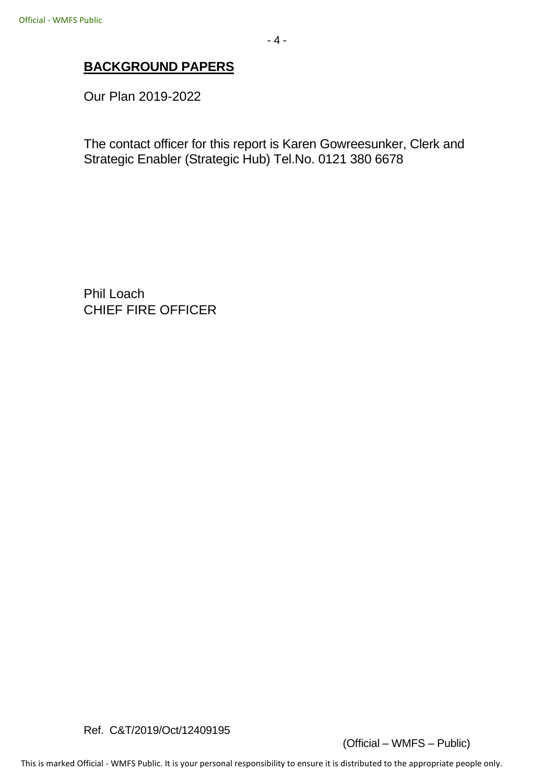Our Plan 2019-2022

The contact officer for this report is Karen Gowreesunker, Clerk and Strategic Enabler (Strategic Hub) Tel.No. 0121 380 6678

Phil Loach CHIEF FIRE OFFICER

Ref. C&T/2019/Oct/12409195

(Official – WMFS – Public)

This is marked Official - WMFS Public. It is your personal responsibility to ensure it is distributed to the appropriate people only.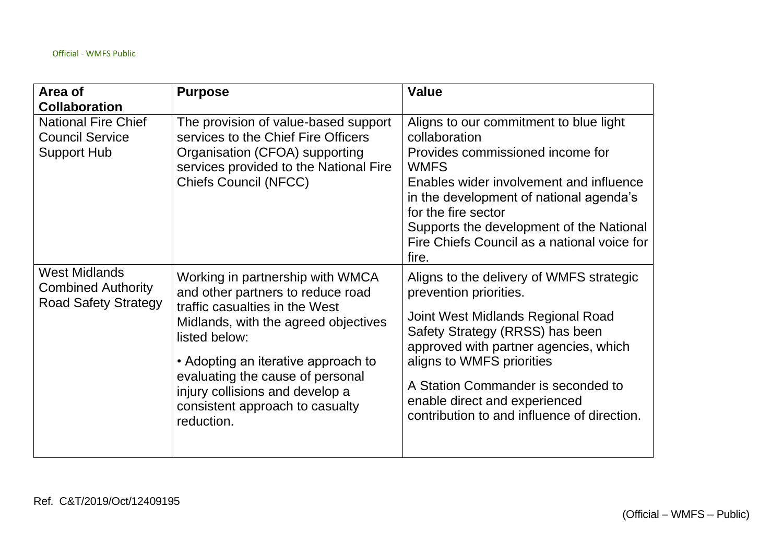| Area of<br><b>Collaboration</b>                                                  | <b>Purpose</b>                                                                                                                                                                                                                                                                                                                  | <b>Value</b>                                                                                                                                                                                                                                                                                                                           |
|----------------------------------------------------------------------------------|---------------------------------------------------------------------------------------------------------------------------------------------------------------------------------------------------------------------------------------------------------------------------------------------------------------------------------|----------------------------------------------------------------------------------------------------------------------------------------------------------------------------------------------------------------------------------------------------------------------------------------------------------------------------------------|
| <b>National Fire Chief</b><br><b>Council Service</b><br><b>Support Hub</b>       | The provision of value-based support<br>services to the Chief Fire Officers<br>Organisation (CFOA) supporting<br>services provided to the National Fire<br><b>Chiefs Council (NFCC)</b>                                                                                                                                         | Aligns to our commitment to blue light<br>collaboration<br>Provides commissioned income for<br><b>WMFS</b><br>Enables wider involvement and influence<br>in the development of national agenda's<br>for the fire sector<br>Supports the development of the National<br>Fire Chiefs Council as a national voice for<br>fire.            |
| <b>West Midlands</b><br><b>Combined Authority</b><br><b>Road Safety Strategy</b> | Working in partnership with WMCA<br>and other partners to reduce road<br>traffic casualties in the West<br>Midlands, with the agreed objectives<br>listed below:<br>• Adopting an iterative approach to<br>evaluating the cause of personal<br>injury collisions and develop a<br>consistent approach to casualty<br>reduction. | Aligns to the delivery of WMFS strategic<br>prevention priorities.<br>Joint West Midlands Regional Road<br>Safety Strategy (RRSS) has been<br>approved with partner agencies, which<br>aligns to WMFS priorities<br>A Station Commander is seconded to<br>enable direct and experienced<br>contribution to and influence of direction. |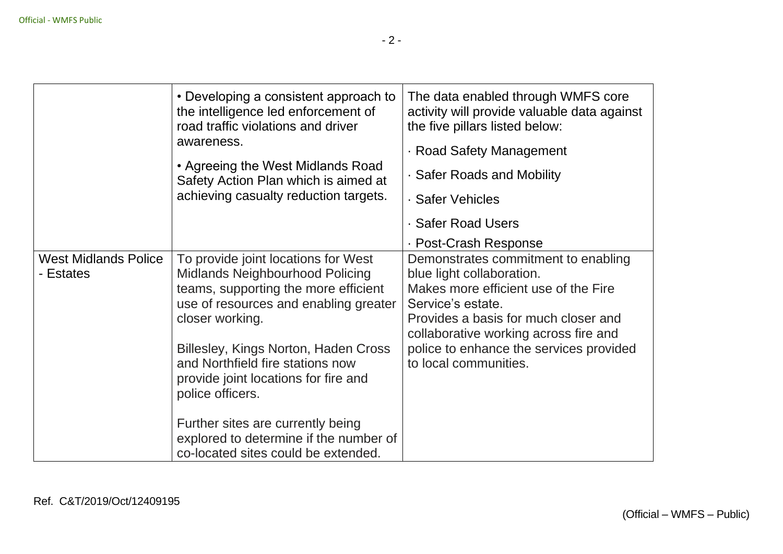|                                          | • Developing a consistent approach to<br>the intelligence led enforcement of<br>road traffic violations and driver<br>awareness.<br>• Agreeing the West Midlands Road<br>Safety Action Plan which is aimed at<br>achieving casualty reduction targets.                                                                                                                                                                                   | The data enabled through WMFS core<br>activity will provide valuable data against<br>the five pillars listed below:<br>· Road Safety Management<br>· Safer Roads and Mobility<br>· Safer Vehicles<br>· Safer Road Users<br>· Post-Crash Response                                   |
|------------------------------------------|------------------------------------------------------------------------------------------------------------------------------------------------------------------------------------------------------------------------------------------------------------------------------------------------------------------------------------------------------------------------------------------------------------------------------------------|------------------------------------------------------------------------------------------------------------------------------------------------------------------------------------------------------------------------------------------------------------------------------------|
| <b>West Midlands Police</b><br>- Estates | To provide joint locations for West<br>Midlands Neighbourhood Policing<br>teams, supporting the more efficient<br>use of resources and enabling greater<br>closer working.<br>Billesley, Kings Norton, Haden Cross<br>and Northfield fire stations now<br>provide joint locations for fire and<br>police officers.<br>Further sites are currently being<br>explored to determine if the number of<br>co-located sites could be extended. | Demonstrates commitment to enabling<br>blue light collaboration.<br>Makes more efficient use of the Fire<br>Service's estate.<br>Provides a basis for much closer and<br>collaborative working across fire and<br>police to enhance the services provided<br>to local communities. |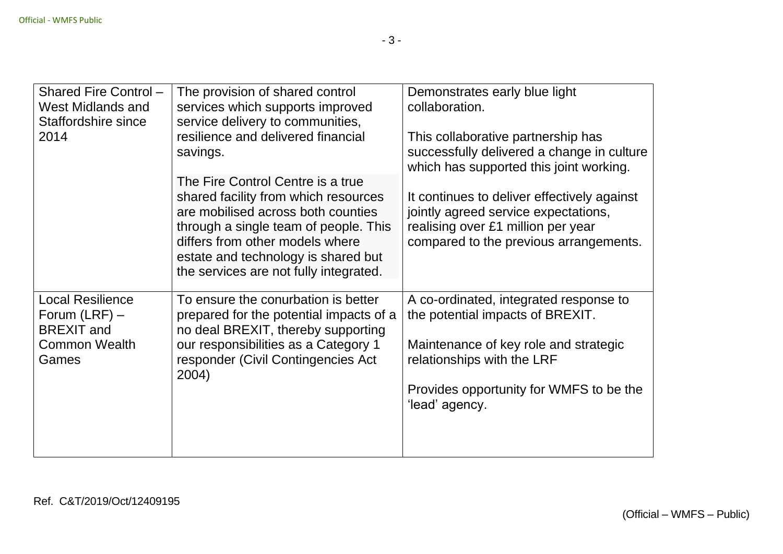| Shared Fire Control -<br>West Midlands and<br>Staffordshire since<br>2014                        | The provision of shared control<br>services which supports improved<br>service delivery to communities,<br>resilience and delivered financial<br>savings.                                                                                                                    | Demonstrates early blue light<br>collaboration.<br>This collaborative partnership has<br>successfully delivered a change in culture<br>which has supported this joint working.                                 |
|--------------------------------------------------------------------------------------------------|------------------------------------------------------------------------------------------------------------------------------------------------------------------------------------------------------------------------------------------------------------------------------|----------------------------------------------------------------------------------------------------------------------------------------------------------------------------------------------------------------|
|                                                                                                  | The Fire Control Centre is a true<br>shared facility from which resources<br>are mobilised across both counties<br>through a single team of people. This<br>differs from other models where<br>estate and technology is shared but<br>the services are not fully integrated. | It continues to deliver effectively against<br>jointly agreed service expectations,<br>realising over £1 million per year<br>compared to the previous arrangements.                                            |
| <b>Local Resilience</b><br>Forum $(LRF)$ –<br><b>BREXIT</b> and<br><b>Common Wealth</b><br>Games | To ensure the conurbation is better<br>prepared for the potential impacts of a<br>no deal BREXIT, thereby supporting<br>our responsibilities as a Category 1<br>responder (Civil Contingencies Act<br>2004)                                                                  | A co-ordinated, integrated response to<br>the potential impacts of BREXIT.<br>Maintenance of key role and strategic<br>relationships with the LRF<br>Provides opportunity for WMFS to be the<br>'lead' agency. |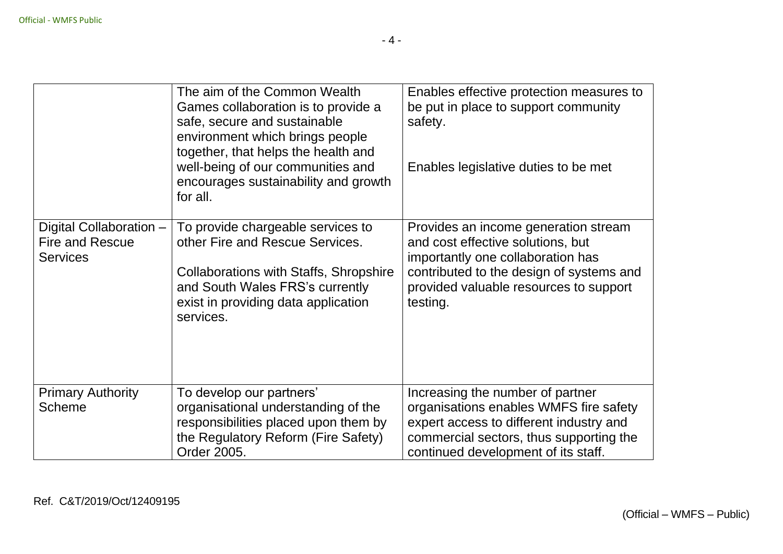|                                                                      | The aim of the Common Wealth<br>Games collaboration is to provide a<br>safe, secure and sustainable<br>environment which brings people<br>together, that helps the health and<br>well-being of our communities and<br>encourages sustainability and growth | Enables effective protection measures to<br>be put in place to support community<br>safety.<br>Enables legislative duties to be met                                                                              |
|----------------------------------------------------------------------|------------------------------------------------------------------------------------------------------------------------------------------------------------------------------------------------------------------------------------------------------------|------------------------------------------------------------------------------------------------------------------------------------------------------------------------------------------------------------------|
|                                                                      | for all.                                                                                                                                                                                                                                                   |                                                                                                                                                                                                                  |
| Digital Collaboration -<br><b>Fire and Rescue</b><br><b>Services</b> | To provide chargeable services to<br>other Fire and Rescue Services.<br><b>Collaborations with Staffs, Shropshire</b><br>and South Wales FRS's currently<br>exist in providing data application<br>services.                                               | Provides an income generation stream<br>and cost effective solutions, but<br>importantly one collaboration has<br>contributed to the design of systems and<br>provided valuable resources to support<br>testing. |
| <b>Primary Authority</b><br><b>Scheme</b>                            | To develop our partners'<br>organisational understanding of the<br>responsibilities placed upon them by<br>the Regulatory Reform (Fire Safety)<br>Order 2005.                                                                                              | Increasing the number of partner<br>organisations enables WMFS fire safety<br>expert access to different industry and<br>commercial sectors, thus supporting the<br>continued development of its staff.          |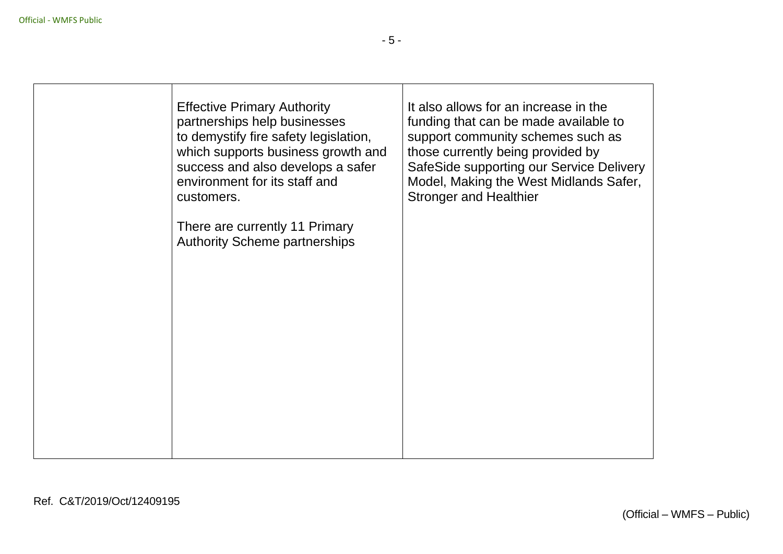| <b>Effective Primary Authority</b><br>partnerships help businesses<br>to demystify fire safety legislation,<br>which supports business growth and<br>success and also develops a safer<br>environment for its staff and<br>customers. | It also allows for an increase in the<br>funding that can be made available to<br>support community schemes such as<br>those currently being provided by<br>SafeSide supporting our Service Delivery<br>Model, Making the West Midlands Safer,<br><b>Stronger and Healthier</b> |  |
|---------------------------------------------------------------------------------------------------------------------------------------------------------------------------------------------------------------------------------------|---------------------------------------------------------------------------------------------------------------------------------------------------------------------------------------------------------------------------------------------------------------------------------|--|
| There are currently 11 Primary<br><b>Authority Scheme partnerships</b>                                                                                                                                                                |                                                                                                                                                                                                                                                                                 |  |
|                                                                                                                                                                                                                                       |                                                                                                                                                                                                                                                                                 |  |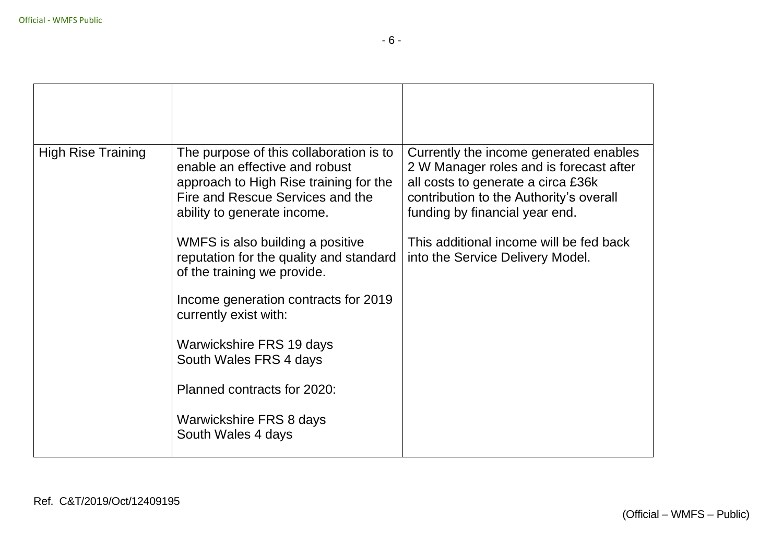| <b>High Rise Training</b> | The purpose of this collaboration is to<br>enable an effective and robust<br>approach to High Rise training for the<br>Fire and Rescue Services and the<br>ability to generate income. | Currently the income generated enables<br>2 W Manager roles and is forecast after<br>all costs to generate a circa £36k<br>contribution to the Authority's overall<br>funding by financial year end. |
|---------------------------|----------------------------------------------------------------------------------------------------------------------------------------------------------------------------------------|------------------------------------------------------------------------------------------------------------------------------------------------------------------------------------------------------|
|                           | WMFS is also building a positive<br>reputation for the quality and standard<br>of the training we provide.                                                                             | This additional income will be fed back<br>into the Service Delivery Model.                                                                                                                          |
|                           | Income generation contracts for 2019<br>currently exist with:                                                                                                                          |                                                                                                                                                                                                      |
|                           | Warwickshire FRS 19 days<br>South Wales FRS 4 days                                                                                                                                     |                                                                                                                                                                                                      |
|                           | Planned contracts for 2020:                                                                                                                                                            |                                                                                                                                                                                                      |
|                           | Warwickshire FRS 8 days<br>South Wales 4 days                                                                                                                                          |                                                                                                                                                                                                      |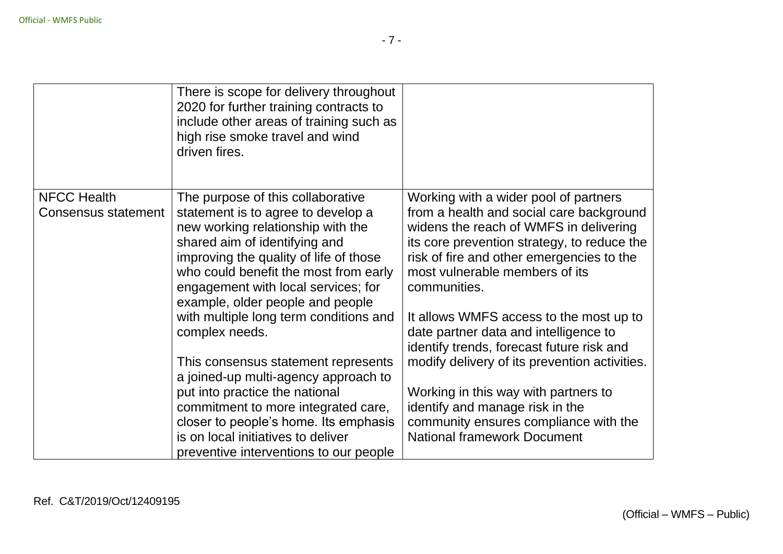|                                           | There is scope for delivery throughout<br>2020 for further training contracts to<br>include other areas of training such as<br>high rise smoke travel and wind<br>driven fires.                                                                                                                             |                                                                                                                                                                                                                                                                           |
|-------------------------------------------|-------------------------------------------------------------------------------------------------------------------------------------------------------------------------------------------------------------------------------------------------------------------------------------------------------------|---------------------------------------------------------------------------------------------------------------------------------------------------------------------------------------------------------------------------------------------------------------------------|
| <b>NFCC Health</b><br>Consensus statement | The purpose of this collaborative<br>statement is to agree to develop a<br>new working relationship with the<br>shared aim of identifying and<br>improving the quality of life of those<br>who could benefit the most from early<br>engagement with local services; for<br>example, older people and people | Working with a wider pool of partners<br>from a health and social care background<br>widens the reach of WMFS in delivering<br>its core prevention strategy, to reduce the<br>risk of fire and other emergencies to the<br>most vulnerable members of its<br>communities. |
|                                           | with multiple long term conditions and<br>complex needs.<br>This consensus statement represents                                                                                                                                                                                                             | It allows WMFS access to the most up to<br>date partner data and intelligence to<br>identify trends, forecast future risk and<br>modify delivery of its prevention activities.                                                                                            |
|                                           | a joined-up multi-agency approach to<br>put into practice the national<br>commitment to more integrated care,<br>closer to people's home. Its emphasis<br>is on local initiatives to deliver<br>preventive interventions to our people                                                                      | Working in this way with partners to<br>identify and manage risk in the<br>community ensures compliance with the<br><b>National framework Document</b>                                                                                                                    |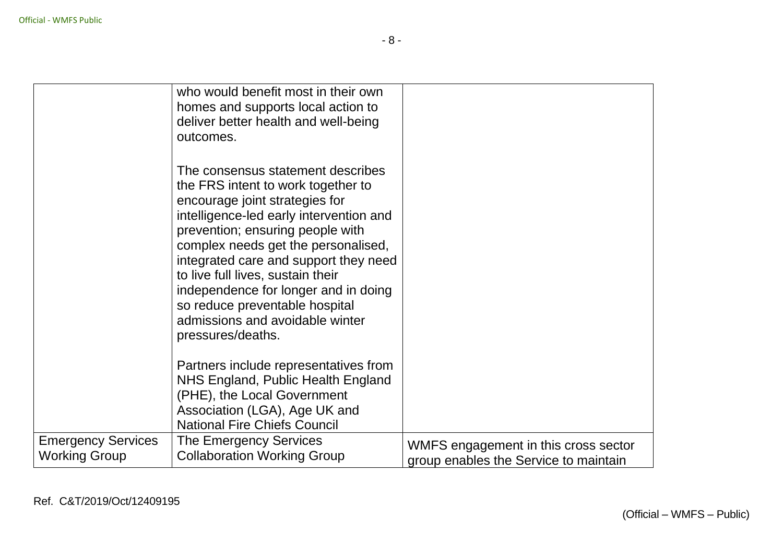|                                                   | who would benefit most in their own<br>homes and supports local action to<br>deliver better health and well-being<br>outcomes.                                                                                                                                                                                                                                                                                                                  |                                                                               |
|---------------------------------------------------|-------------------------------------------------------------------------------------------------------------------------------------------------------------------------------------------------------------------------------------------------------------------------------------------------------------------------------------------------------------------------------------------------------------------------------------------------|-------------------------------------------------------------------------------|
|                                                   | The consensus statement describes<br>the FRS intent to work together to<br>encourage joint strategies for<br>intelligence-led early intervention and<br>prevention; ensuring people with<br>complex needs get the personalised,<br>integrated care and support they need<br>to live full lives, sustain their<br>independence for longer and in doing<br>so reduce preventable hospital<br>admissions and avoidable winter<br>pressures/deaths. |                                                                               |
|                                                   | Partners include representatives from<br>NHS England, Public Health England<br>(PHE), the Local Government<br>Association (LGA), Age UK and<br><b>National Fire Chiefs Council</b>                                                                                                                                                                                                                                                              |                                                                               |
| <b>Emergency Services</b><br><b>Working Group</b> | The Emergency Services<br><b>Collaboration Working Group</b>                                                                                                                                                                                                                                                                                                                                                                                    | WMFS engagement in this cross sector<br>group enables the Service to maintain |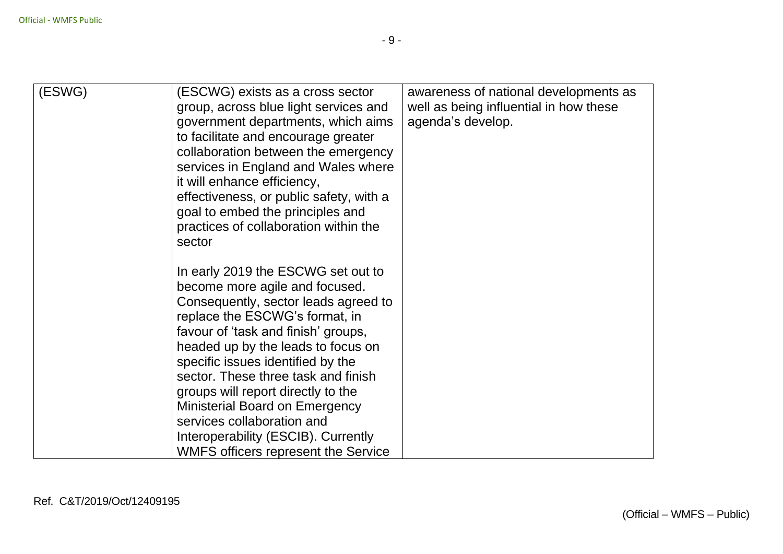| (ESWG) | (ESCWG) exists as a cross sector<br>group, across blue light services and<br>government departments, which aims<br>to facilitate and encourage greater<br>collaboration between the emergency<br>services in England and Wales where<br>it will enhance efficiency,<br>effectiveness, or public safety, with a<br>goal to embed the principles and<br>practices of collaboration within the<br>sector                                                                                                     | awareness of national developments as<br>well as being influential in how these<br>agenda's develop. |
|--------|-----------------------------------------------------------------------------------------------------------------------------------------------------------------------------------------------------------------------------------------------------------------------------------------------------------------------------------------------------------------------------------------------------------------------------------------------------------------------------------------------------------|------------------------------------------------------------------------------------------------------|
|        | In early 2019 the ESCWG set out to<br>become more agile and focused.<br>Consequently, sector leads agreed to<br>replace the ESCWG's format, in<br>favour of 'task and finish' groups,<br>headed up by the leads to focus on<br>specific issues identified by the<br>sector. These three task and finish<br>groups will report directly to the<br><b>Ministerial Board on Emergency</b><br>services collaboration and<br>Interoperability (ESCIB). Currently<br><b>WMFS officers represent the Service</b> |                                                                                                      |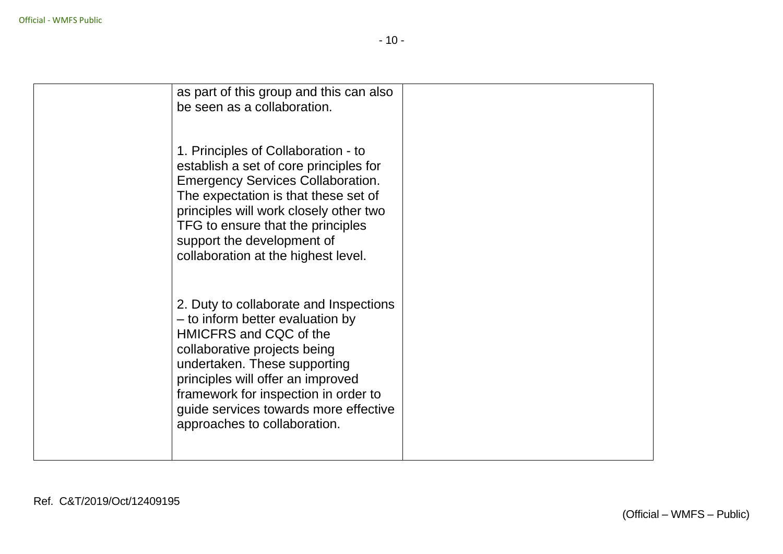| as part of this group and this can also<br>be seen as a collaboration.                                                                                                                                                                                                                                                     |  |
|----------------------------------------------------------------------------------------------------------------------------------------------------------------------------------------------------------------------------------------------------------------------------------------------------------------------------|--|
| 1. Principles of Collaboration - to<br>establish a set of core principles for<br><b>Emergency Services Collaboration.</b><br>The expectation is that these set of<br>principles will work closely other two<br>TFG to ensure that the principles<br>support the development of<br>collaboration at the highest level.      |  |
| 2. Duty to collaborate and Inspections<br>- to inform better evaluation by<br>HMICFRS and CQC of the<br>collaborative projects being<br>undertaken. These supporting<br>principles will offer an improved<br>framework for inspection in order to<br>guide services towards more effective<br>approaches to collaboration. |  |